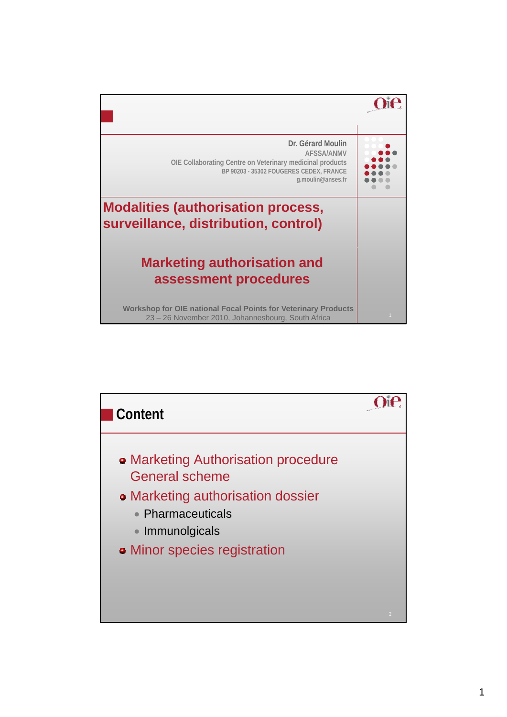

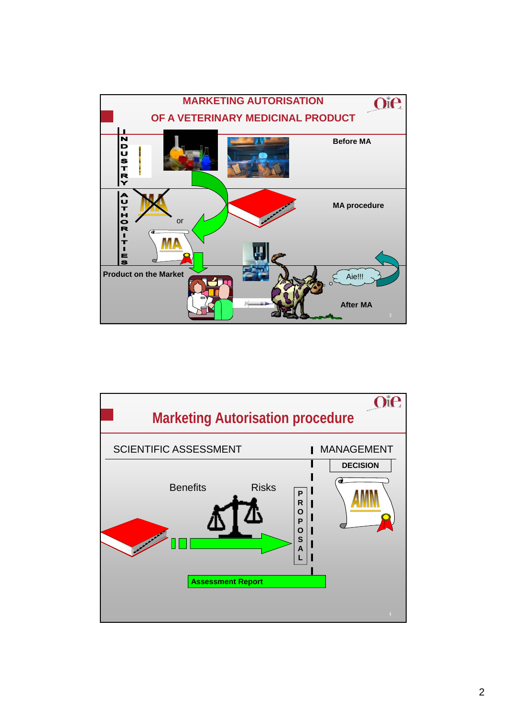

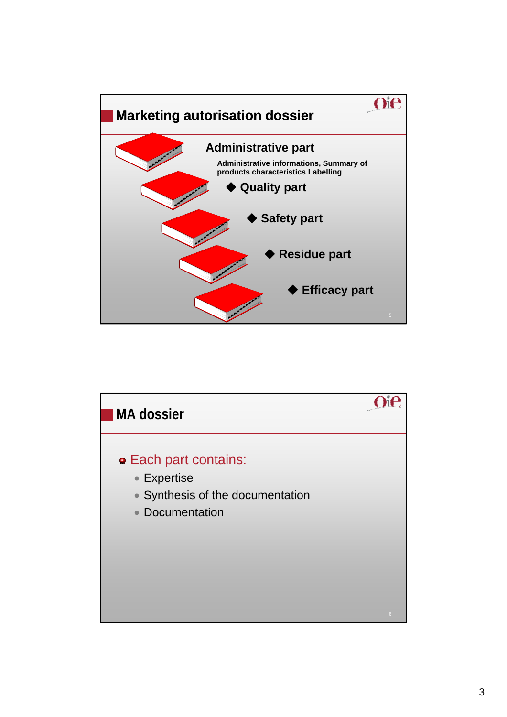

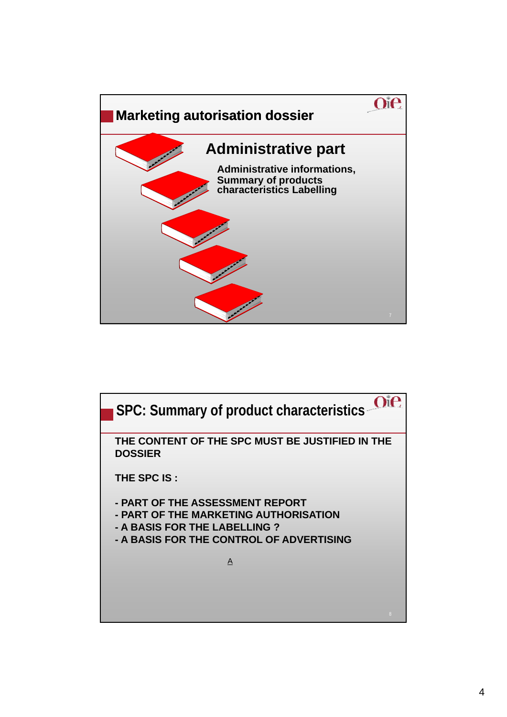

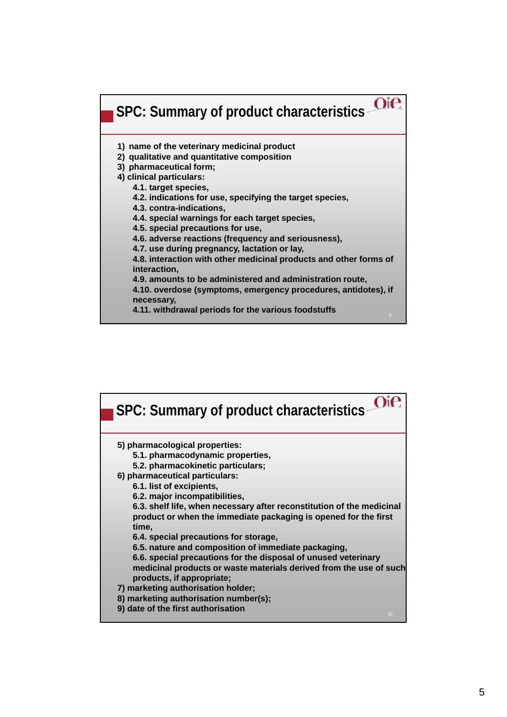

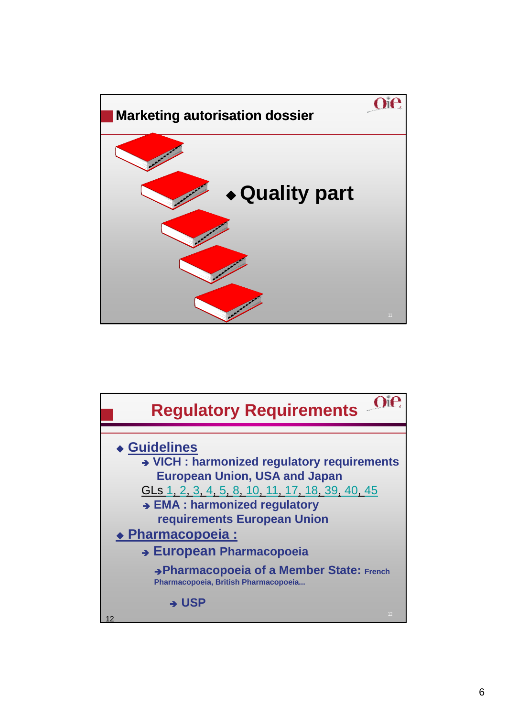

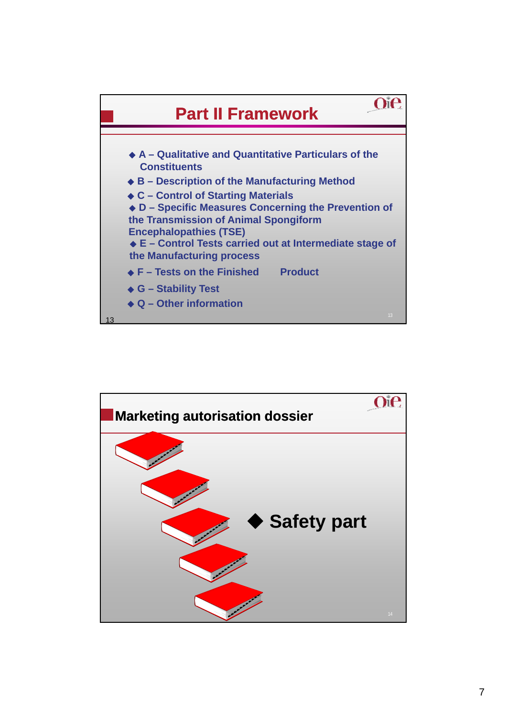

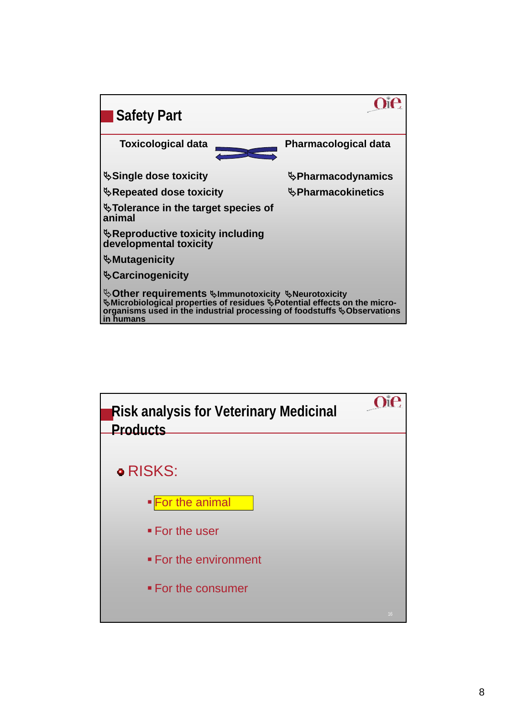

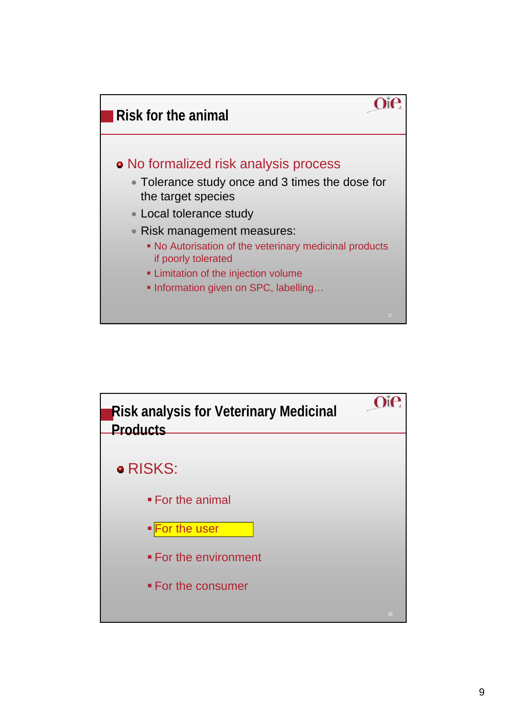

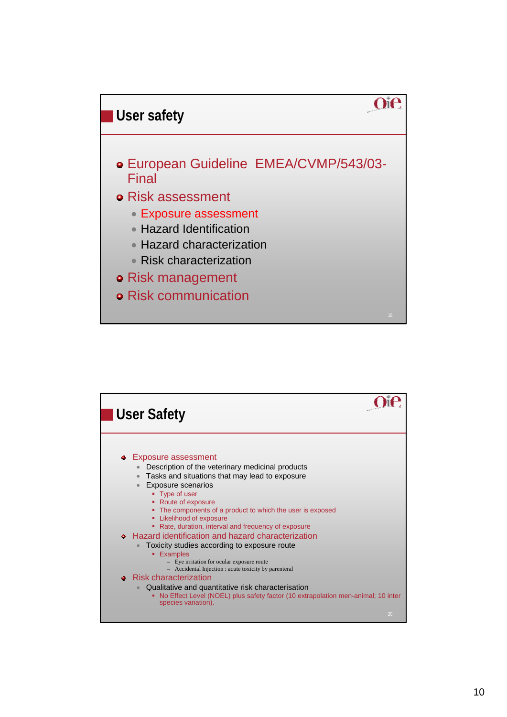

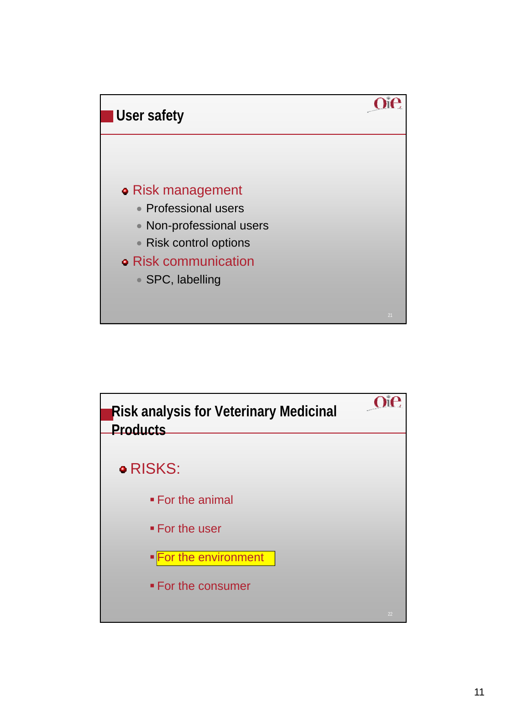

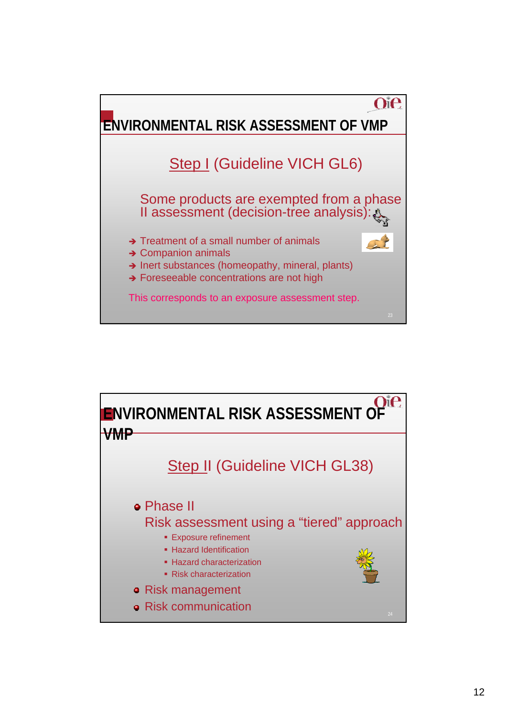

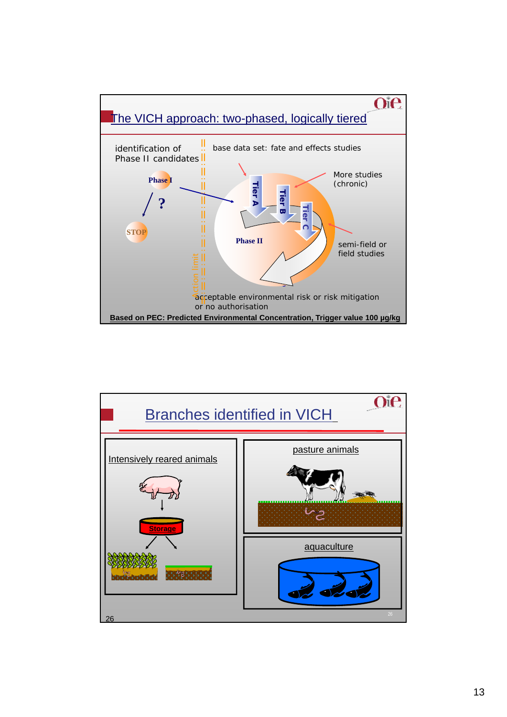

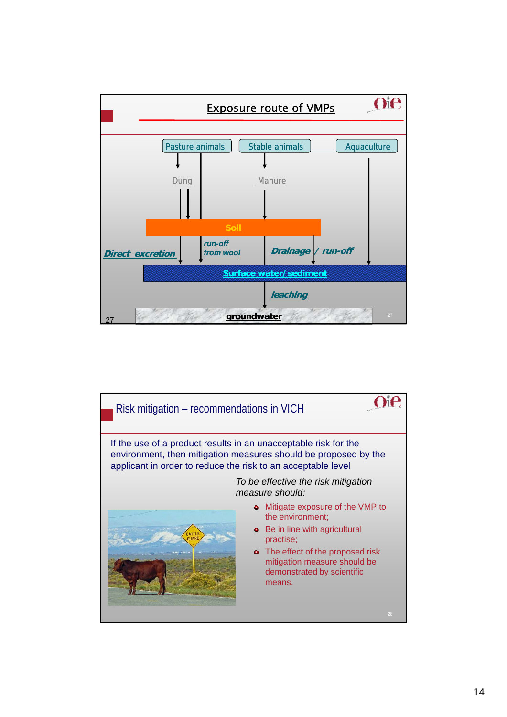

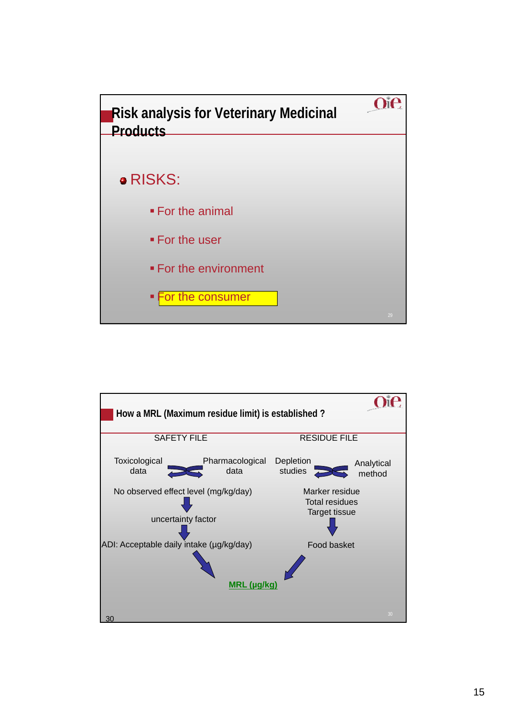

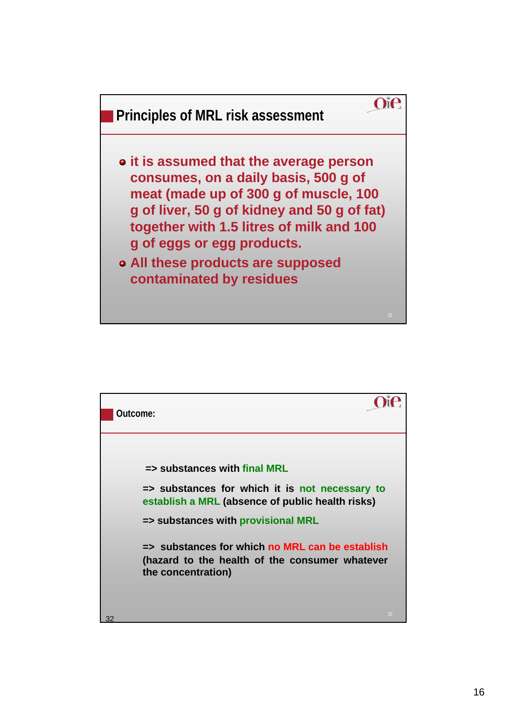

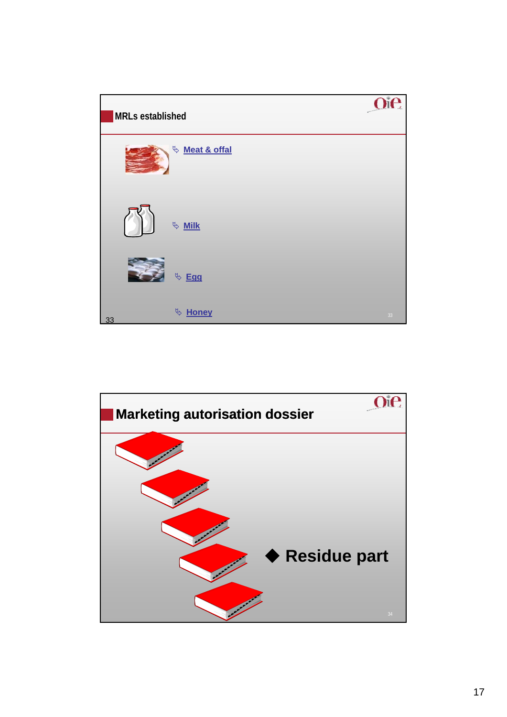

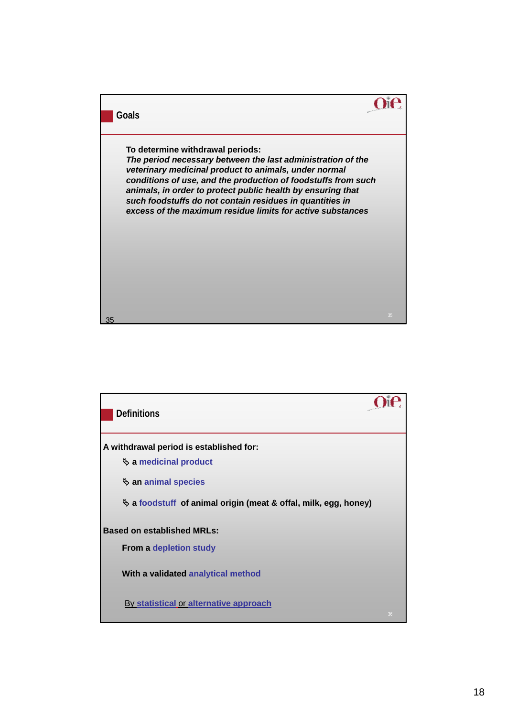

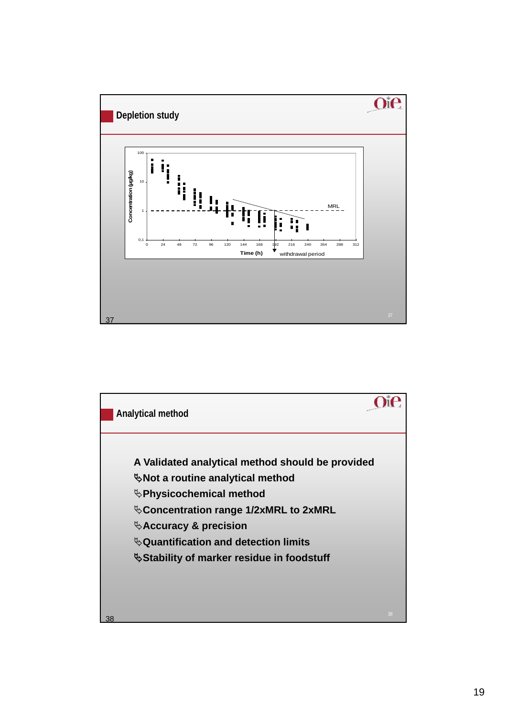

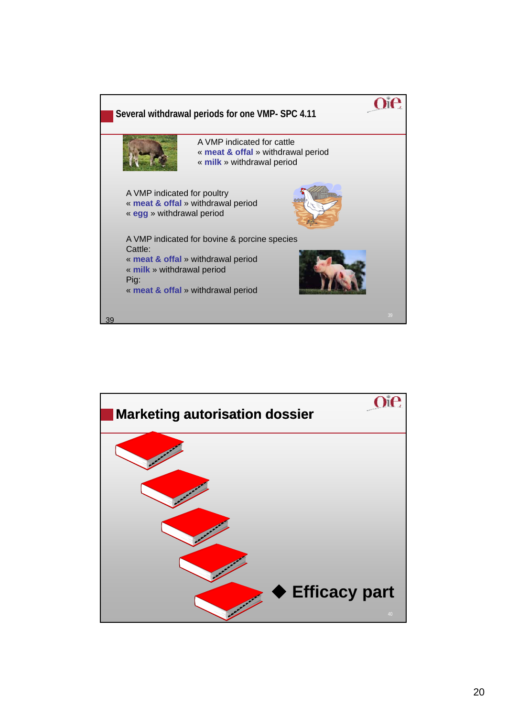

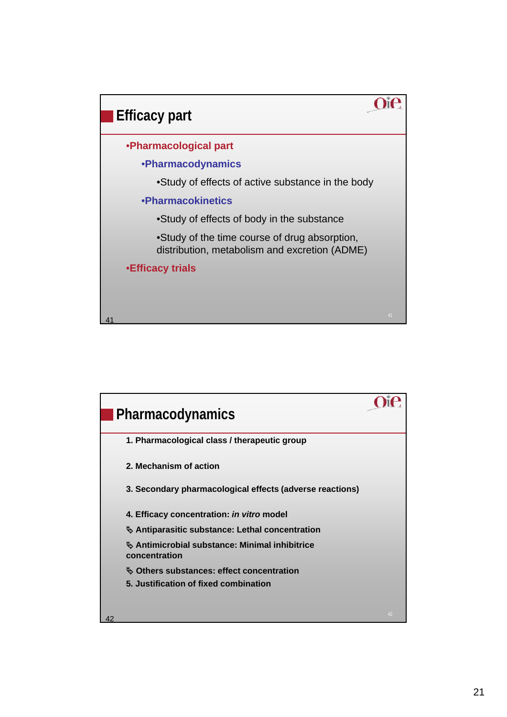

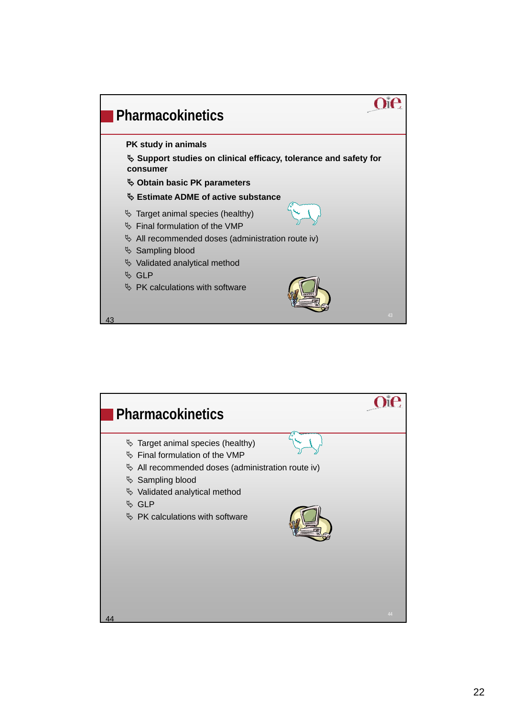

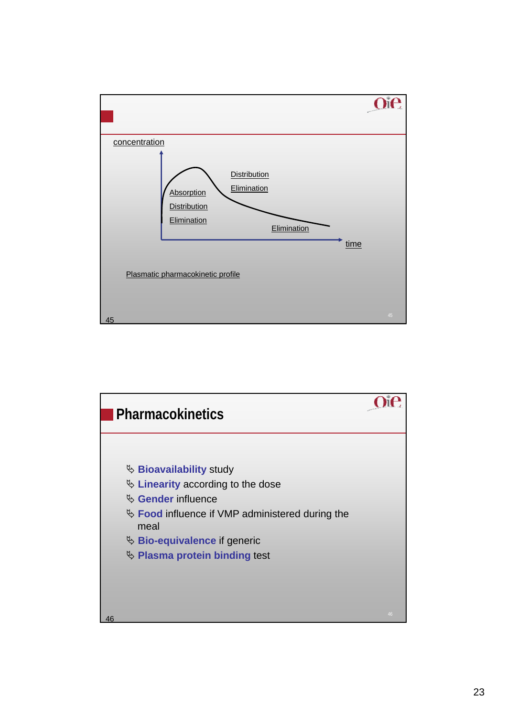

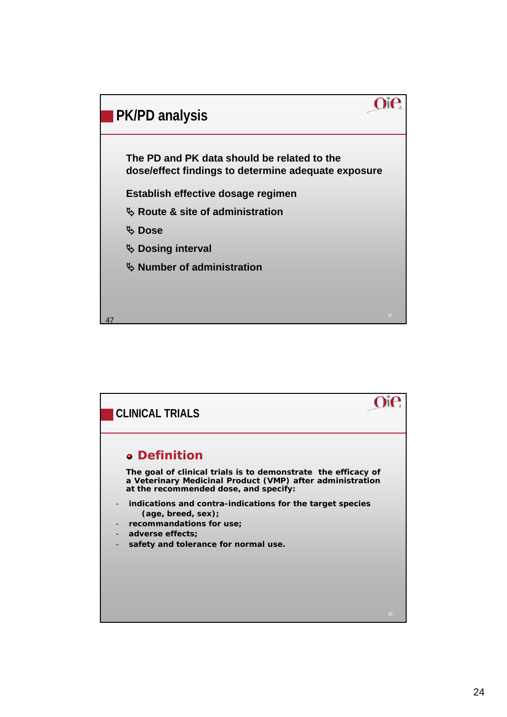

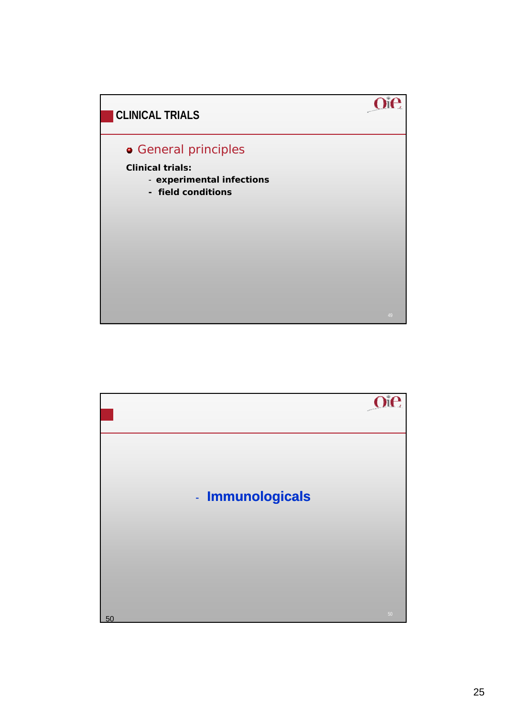

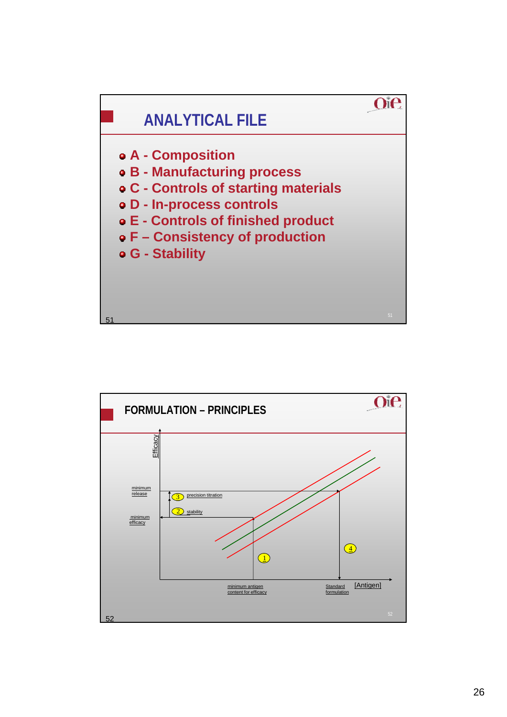

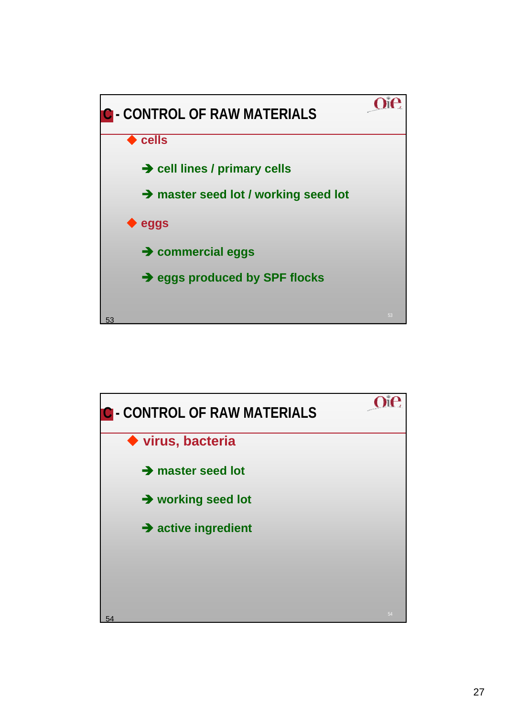

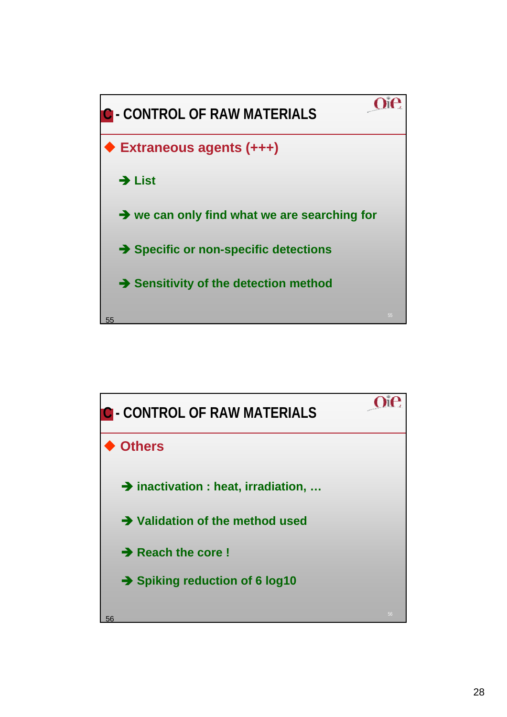

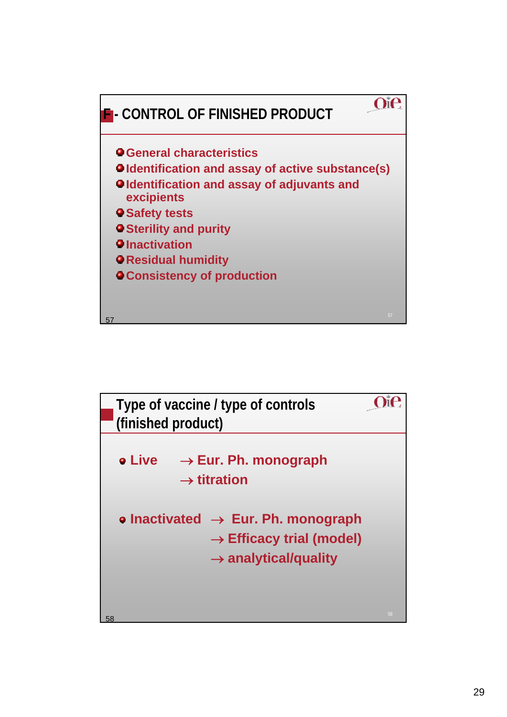

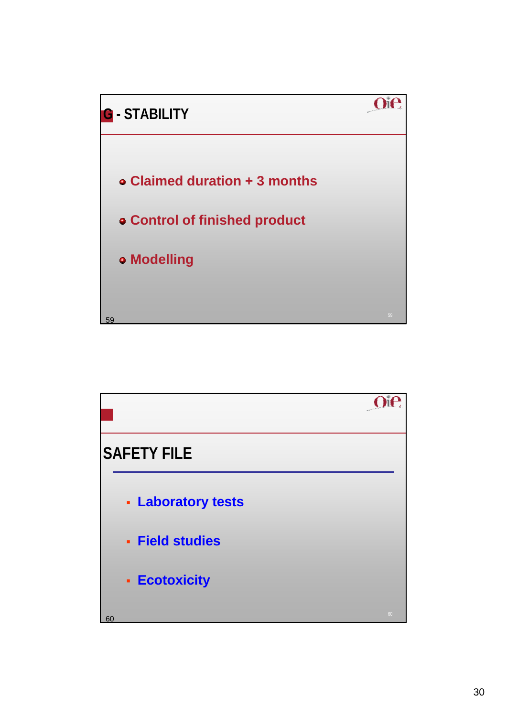

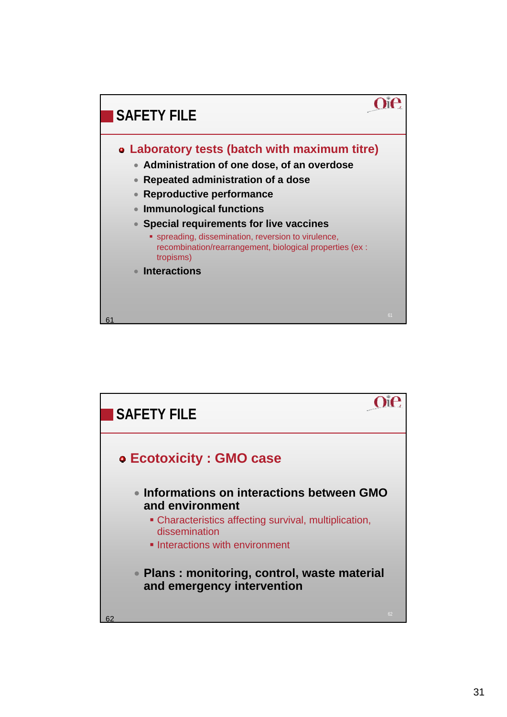

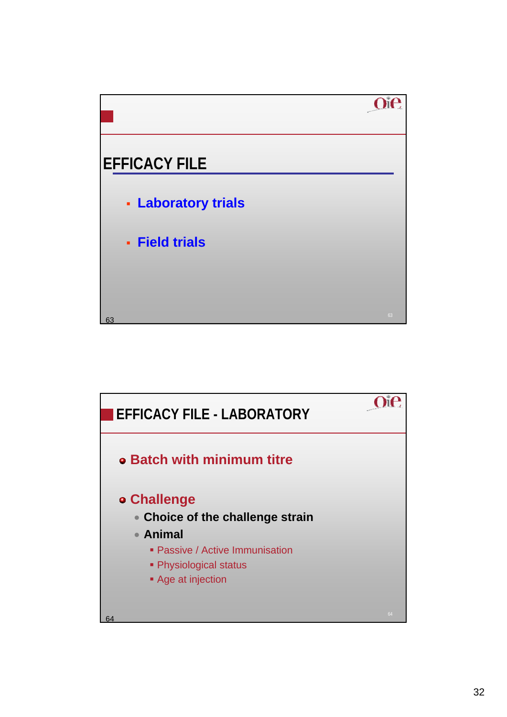

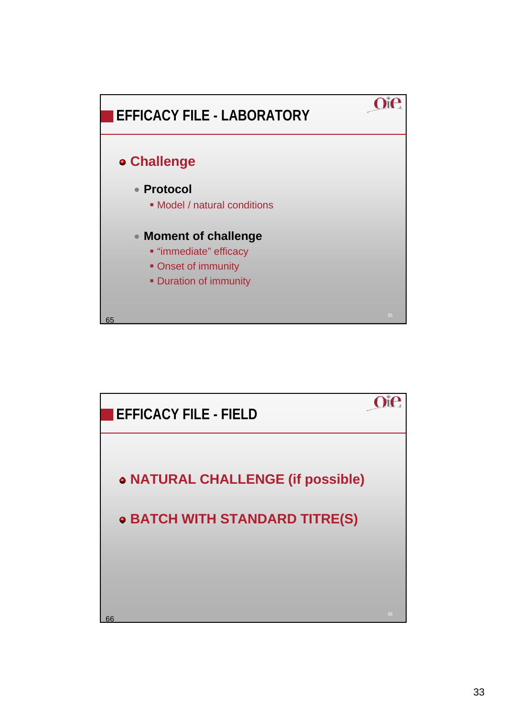